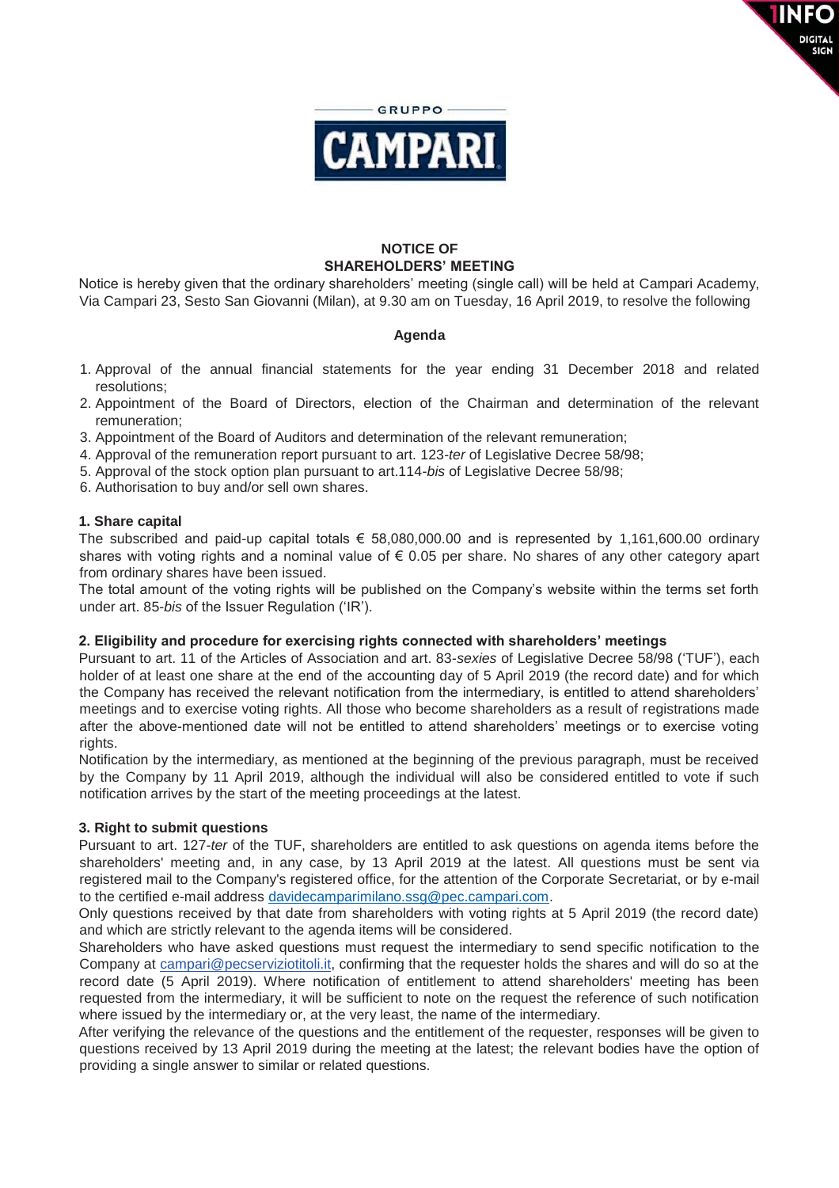

**DIGITAL** 

### **NOTICE OF SHAREHOLDERS' MEETING**

Notice is hereby given that the ordinary shareholders' meeting (single call) will be held at Campari Academy, Via Campari 23, Sesto San Giovanni (Milan), at 9.30 am on Tuesday, 16 April 2019, to resolve the following

#### **Agenda**

- 1. Approval of the annual financial statements for the year ending 31 December 2018 and related resolutions;
- 2. Appointment of the Board of Directors, election of the Chairman and determination of the relevant remuneration;
- 3. Appointment of the Board of Auditors and determination of the relevant remuneration;
- 4. Approval of the remuneration report pursuant to art. 123-*ter* of Legislative Decree 58/98;
- 5. Approval of the stock option plan pursuant to art.114-*bis* of Legislative Decree 58/98;
- 6. Authorisation to buy and/or sell own shares.

#### **1. Share capital**

The subscribed and paid-up capital totals  $\epsilon$  58,080,000.00 and is represented by 1,161,600.00 ordinary shares with voting rights and a nominal value of  $\epsilon$  0.05 per share. No shares of any other category apart from ordinary shares have been issued.

The total amount of the voting rights will be published on the Company's website within the terms set forth under art. 85-*bis* of the Issuer Regulation ('IR').

#### **2. Eligibility and procedure for exercising rights connected with shareholders' meetings**

Pursuant to art. 11 of the Articles of Association and art. 83-*sexies* of Legislative Decree 58/98 ('TUF'), each holder of at least one share at the end of the accounting day of 5 April 2019 (the record date) and for which the Company has received the relevant notification from the intermediary, is entitled to attend shareholders' meetings and to exercise voting rights. All those who become shareholders as a result of registrations made after the above-mentioned date will not be entitled to attend shareholders' meetings or to exercise voting rights.

Notification by the intermediary, as mentioned at the beginning of the previous paragraph, must be received by the Company by 11 April 2019, although the individual will also be considered entitled to vote if such notification arrives by the start of the meeting proceedings at the latest.

#### **3. Right to submit questions**

Pursuant to art. 127-*ter* of the TUF, shareholders are entitled to ask questions on agenda items before the shareholders' meeting and, in any case, by 13 April 2019 at the latest. All questions must be sent via registered mail to the Company's registered office, for the attention of the Corporate Secretariat, or by e-mail to the certified e-mail address davidecamparimilano.ssg@pec.campari.com.

Only questions received by that date from shareholders with voting rights at 5 April 2019 (the record date) and which are strictly relevant to the agenda items will be considered.

Shareholders who have asked questions must request the intermediary to send specific notification to the Company at campari@pecserviziotitoli.it, confirming that the requester holds the shares and will do so at the record date (5 April 2019). Where notification of entitlement to attend shareholders' meeting has been requested from the intermediary, it will be sufficient to note on the request the reference of such notification where issued by the intermediary or, at the very least, the name of the intermediary.

After verifying the relevance of the questions and the entitlement of the requester, responses will be given to questions received by 13 April 2019 during the meeting at the latest; the relevant bodies have the option of providing a single answer to similar or related questions.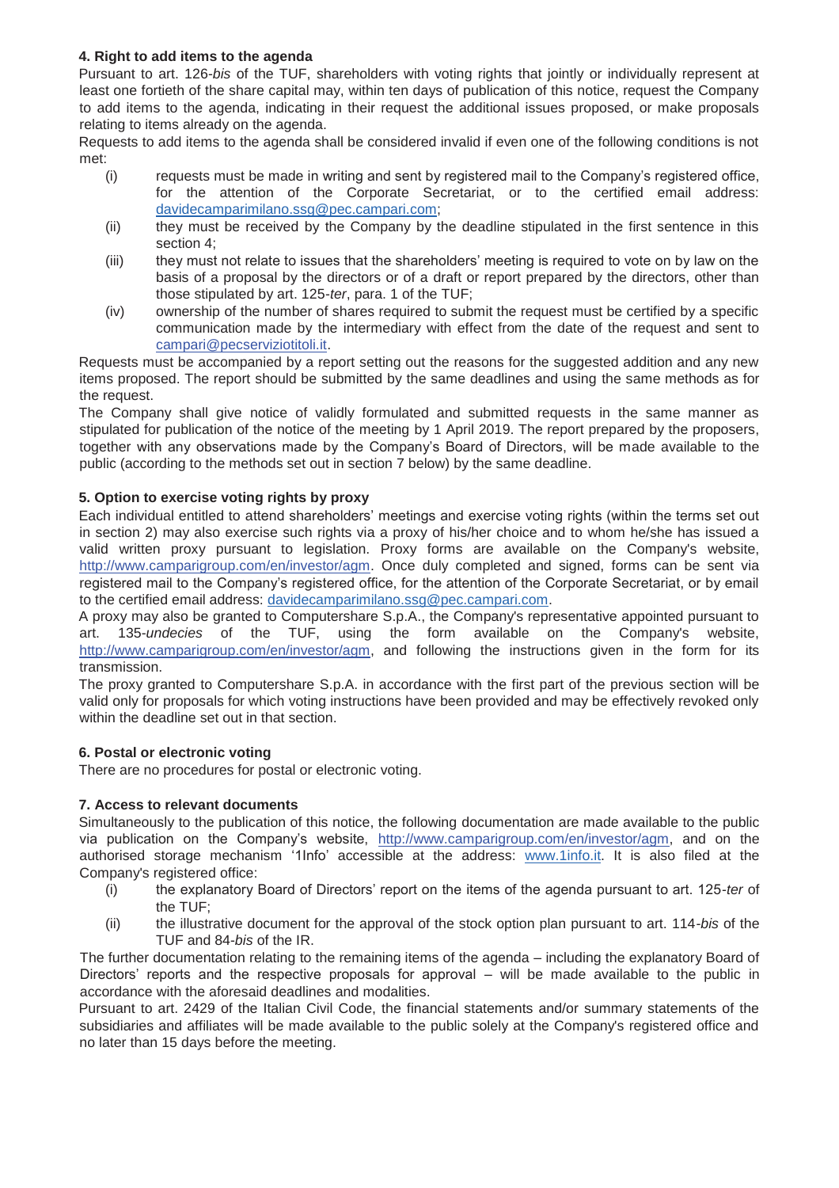### **4. Right to add items to the agenda**

Pursuant to art. 126-*bis* of the TUF, shareholders with voting rights that jointly or individually represent at least one fortieth of the share capital may, within ten days of publication of this notice, request the Company to add items to the agenda, indicating in their request the additional issues proposed, or make proposals relating to items already on the agenda.

Requests to add items to the agenda shall be considered invalid if even one of the following conditions is not met:

- (i) requests must be made in writing and sent by registered mail to the Company's registered office, for the attention of the Corporate Secretariat, or to the certified email address: davidecamparimilano.ssg@pec.campari.com;
- (ii) they must be received by the Company by the deadline stipulated in the first sentence in this section 4;
- (iii) they must not relate to issues that the shareholders' meeting is required to vote on by law on the basis of a proposal by the directors or of a draft or report prepared by the directors, other than those stipulated by art. 125-*ter*, para. 1 of the TUF;
- (iv) ownership of the number of shares required to submit the request must be certified by a specific communication made by the intermediary with effect from the date of the request and sent to campari@pecserviziotitoli.it.

Requests must be accompanied by a report setting out the reasons for the suggested addition and any new items proposed. The report should be submitted by the same deadlines and using the same methods as for the request.

The Company shall give notice of validly formulated and submitted requests in the same manner as stipulated for publication of the notice of the meeting by 1 April 2019. The report prepared by the proposers, together with any observations made by the Company's Board of Directors, will be made available to the public (according to the methods set out in section 7 below) by the same deadline.

# **5. Option to exercise voting rights by proxy**

Each individual entitled to attend shareholders' meetings and exercise voting rights (within the terms set out in section 2) may also exercise such rights via a proxy of his/her choice and to whom he/she has issued a valid written proxy pursuant to legislation. Proxy forms are available on the Company's website, http://www.camparigroup.com/en/investor/agm. Once duly completed and signed, forms can be sent via registered mail to the Company's registered office, for the attention of the Corporate Secretariat, or by email to the certified email address: davidecamparimilano.ssg@pec.campari.com.

A proxy may also be granted to Computershare S.p.A., the Company's representative appointed pursuant to art. 135-*undecies* of the TUF, using the form available on the Company's website, http://www.camparigroup.com/en/investor/agm, and following the instructions given in the form for its transmission.

The proxy granted to Computershare S.p.A. in accordance with the first part of the previous section will be valid only for proposals for which voting instructions have been provided and may be effectively revoked only within the deadline set out in that section.

# **6. Postal or electronic voting**

There are no procedures for postal or electronic voting.

# **7. Access to relevant documents**

Simultaneously to the publication of this notice, the following documentation are made available to the public via publication on the Company's website, http://www.camparigroup.com/en/investor/agm, and on the authorised storage mechanism '1Info' accessible at the address: www.1info.it. It is also filed at the Company's registered office:

- (i) the explanatory Board of Directors' report on the items of the agenda pursuant to art. 125-*ter* of the TUF;
- (ii) the illustrative document for the approval of the stock option plan pursuant to art. 114-*bis* of the TUF and 84-*bis* of the IR.

The further documentation relating to the remaining items of the agenda – including the explanatory Board of Directors' reports and the respective proposals for approval – will be made available to the public in accordance with the aforesaid deadlines and modalities.

Pursuant to art. 2429 of the Italian Civil Code, the financial statements and/or summary statements of the subsidiaries and affiliates will be made available to the public solely at the Company's registered office and no later than 15 days before the meeting.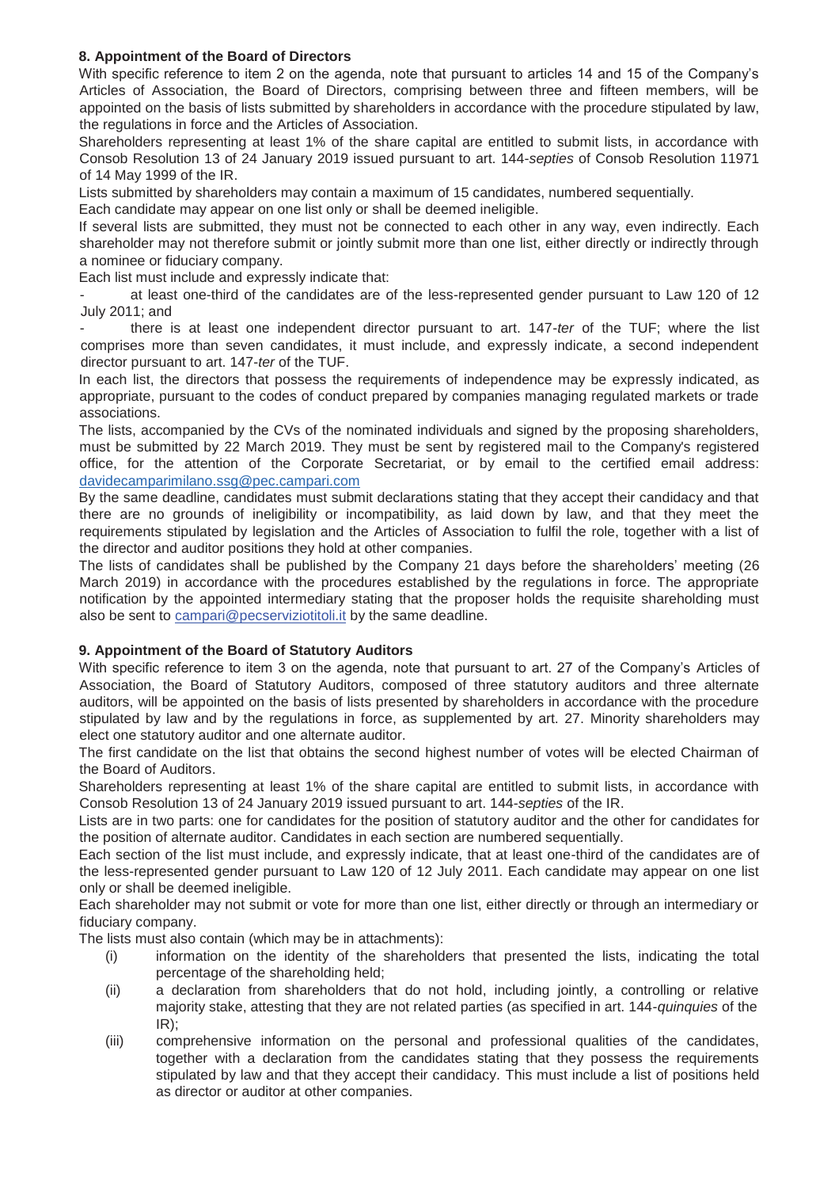### **8. Appointment of the Board of Directors**

With specific reference to item 2 on the agenda, note that pursuant to articles 14 and 15 of the Company's Articles of Association, the Board of Directors, comprising between three and fifteen members, will be appointed on the basis of lists submitted by shareholders in accordance with the procedure stipulated by law, the regulations in force and the Articles of Association.

Shareholders representing at least 1% of the share capital are entitled to submit lists, in accordance with Consob Resolution 13 of 24 January 2019 issued pursuant to art. 144-*septies* of Consob Resolution 11971 of 14 May 1999 of the IR.

Lists submitted by shareholders may contain a maximum of 15 candidates, numbered sequentially.

Each candidate may appear on one list only or shall be deemed ineligible.

If several lists are submitted, they must not be connected to each other in any way, even indirectly. Each shareholder may not therefore submit or jointly submit more than one list, either directly or indirectly through a nominee or fiduciary company.

Each list must include and expressly indicate that:

at least one-third of the candidates are of the less-represented gender pursuant to Law 120 of 12 July 2011; and

- there is at least one independent director pursuant to art. 147-*ter* of the TUF; where the list comprises more than seven candidates, it must include, and expressly indicate, a second independent director pursuant to art. 147-*ter* of the TUF.

In each list, the directors that possess the requirements of independence may be expressly indicated, as appropriate, pursuant to the codes of conduct prepared by companies managing regulated markets or trade associations.

The lists, accompanied by the CVs of the nominated individuals and signed by the proposing shareholders, must be submitted by 22 March 2019. They must be sent by registered mail to the Company's registered office, for the attention of the Corporate Secretariat, or by email to the certified email address: davidecamparimilano.ssg@pec.campari.com

By the same deadline, candidates must submit declarations stating that they accept their candidacy and that there are no grounds of ineligibility or incompatibility, as laid down by law, and that they meet the requirements stipulated by legislation and the Articles of Association to fulfil the role, together with a list of the director and auditor positions they hold at other companies.

The lists of candidates shall be published by the Company 21 days before the shareholders' meeting (26 March 2019) in accordance with the procedures established by the regulations in force. The appropriate notification by the appointed intermediary stating that the proposer holds the requisite shareholding must also be sent to campari@pecserviziotitoli.it by the same deadline.

# **9. Appointment of the Board of Statutory Auditors**

With specific reference to item 3 on the agenda, note that pursuant to art. 27 of the Company's Articles of Association, the Board of Statutory Auditors, composed of three statutory auditors and three alternate auditors, will be appointed on the basis of lists presented by shareholders in accordance with the procedure stipulated by law and by the regulations in force, as supplemented by art. 27. Minority shareholders may elect one statutory auditor and one alternate auditor.

The first candidate on the list that obtains the second highest number of votes will be elected Chairman of the Board of Auditors.

Shareholders representing at least 1% of the share capital are entitled to submit lists, in accordance with Consob Resolution 13 of 24 January 2019 issued pursuant to art. 144-*septies* of the IR.

Lists are in two parts: one for candidates for the position of statutory auditor and the other for candidates for the position of alternate auditor. Candidates in each section are numbered sequentially.

Each section of the list must include, and expressly indicate, that at least one-third of the candidates are of the less-represented gender pursuant to Law 120 of 12 July 2011. Each candidate may appear on one list only or shall be deemed ineligible.

Each shareholder may not submit or vote for more than one list, either directly or through an intermediary or fiduciary company.

The lists must also contain (which may be in attachments):

- (i) information on the identity of the shareholders that presented the lists, indicating the total percentage of the shareholding held;
- (ii) a declaration from shareholders that do not hold, including jointly, a controlling or relative majority stake, attesting that they are not related parties (as specified in art. 144-*quinquies* of the IR);
- (iii) comprehensive information on the personal and professional qualities of the candidates, together with a declaration from the candidates stating that they possess the requirements stipulated by law and that they accept their candidacy. This must include a list of positions held as director or auditor at other companies.